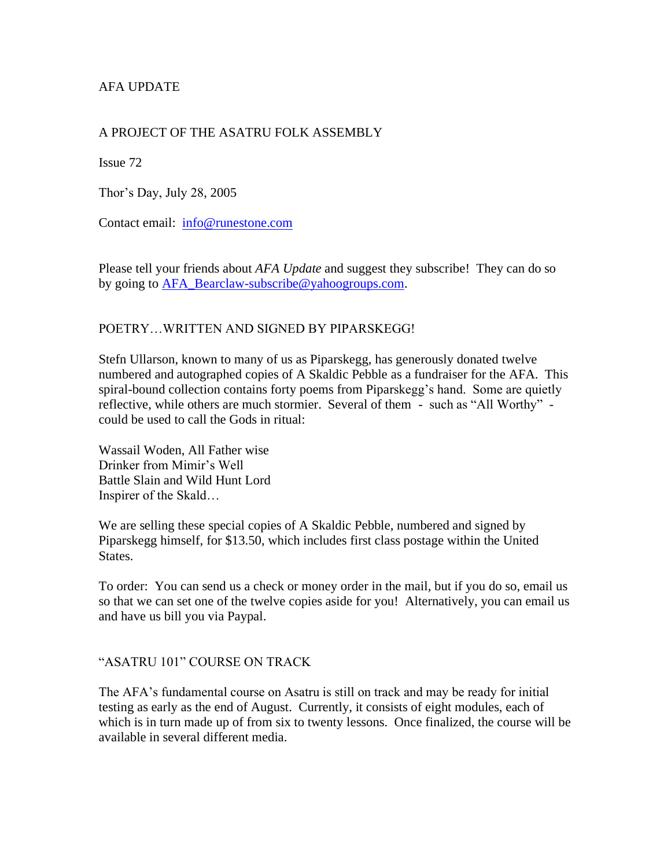# AFA UPDATE

## A PROJECT OF THE ASATRU FOLK ASSEMBLY

Issue 72

Thor's Day, July 28, 2005

Contact email: [info@runestone.com](mailto:info@runestone.com)

Please tell your friends about *AFA Update* and suggest they subscribe! They can do so by going to [AFA\\_Bearclaw-subscribe@yahoogroups.com.](mailto:AFA_Bearclaw-subscribe@yahoogroups.com)

### POETRY…WRITTEN AND SIGNED BY PIPARSKEGG!

Stefn Ullarson, known to many of us as Piparskegg, has generously donated twelve numbered and autographed copies of A Skaldic Pebble as a fundraiser for the AFA. This spiral-bound collection contains forty poems from Piparskegg's hand. Some are quietly reflective, while others are much stormier. Several of them - such as "All Worthy" could be used to call the Gods in ritual:

Wassail Woden, All Father wise Drinker from Mimir's Well Battle Slain and Wild Hunt Lord Inspirer of the Skald…

We are selling these special copies of A Skaldic Pebble, numbered and signed by Piparskegg himself, for \$13.50, which includes first class postage within the United States.

To order: You can send us a check or money order in the mail, but if you do so, email us so that we can set one of the twelve copies aside for you! Alternatively, you can email us and have us bill you via Paypal.

#### "ASATRU 101" COURSE ON TRACK

The AFA's fundamental course on Asatru is still on track and may be ready for initial testing as early as the end of August. Currently, it consists of eight modules, each of which is in turn made up of from six to twenty lessons. Once finalized, the course will be available in several different media.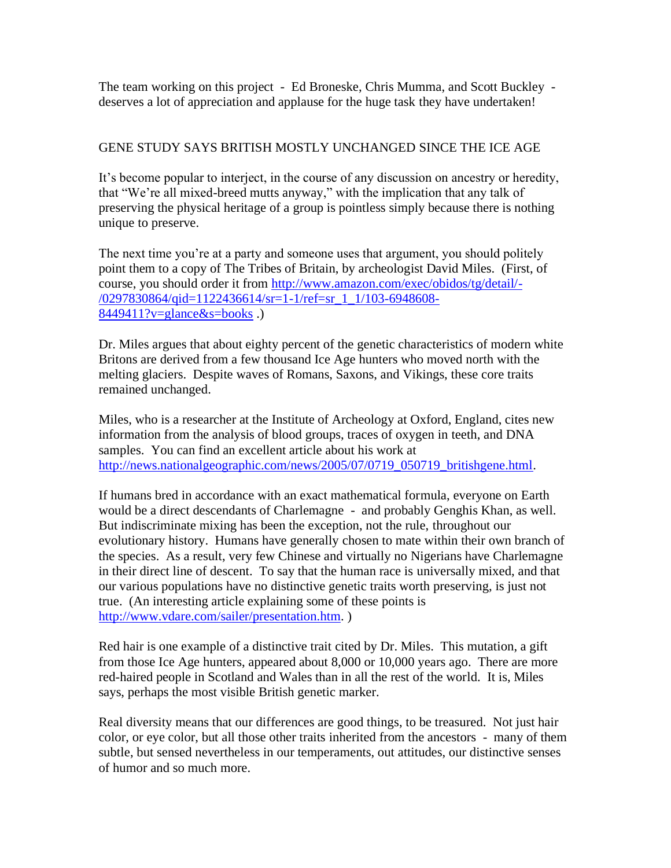The team working on this project - Ed Broneske, Chris Mumma, and Scott Buckley deserves a lot of appreciation and applause for the huge task they have undertaken!

# GENE STUDY SAYS BRITISH MOSTLY UNCHANGED SINCE THE ICE AGE

It's become popular to interject, in the course of any discussion on ancestry or heredity, that "We're all mixed-breed mutts anyway," with the implication that any talk of preserving the physical heritage of a group is pointless simply because there is nothing unique to preserve.

The next time you're at a party and someone uses that argument, you should politely point them to a copy of The Tribes of Britain, by archeologist David Miles. (First, of course, you should order it from [http://www.amazon.com/exec/obidos/tg/detail/-](http://www.amazon.com/exec/obidos/tg/detail/-/0297830864/qid=1122436614/sr=1-1/ref=sr_1_1/103-6948608-8449411?v=glance&s=books) [/0297830864/qid=1122436614/sr=1-1/ref=sr\\_1\\_1/103-6948608-](http://www.amazon.com/exec/obidos/tg/detail/-/0297830864/qid=1122436614/sr=1-1/ref=sr_1_1/103-6948608-8449411?v=glance&s=books)  $8449411$ ?v=glance&s=books.)

Dr. Miles argues that about eighty percent of the genetic characteristics of modern white Britons are derived from a few thousand Ice Age hunters who moved north with the melting glaciers. Despite waves of Romans, Saxons, and Vikings, these core traits remained unchanged.

Miles, who is a researcher at the Institute of Archeology at Oxford, England, cites new information from the analysis of blood groups, traces of oxygen in teeth, and DNA samples. You can find an excellent article about his work at [http://news.nationalgeographic.com/news/2005/07/0719\\_050719\\_britishgene.html.](http://news.nationalgeographic.com/news/2005/07/0719_050719_britishgene.html)

If humans bred in accordance with an exact mathematical formula, everyone on Earth would be a direct descendants of Charlemagne - and probably Genghis Khan, as well. But indiscriminate mixing has been the exception, not the rule, throughout our evolutionary history. Humans have generally chosen to mate within their own branch of the species. As a result, very few Chinese and virtually no Nigerians have Charlemagne in their direct line of descent. To say that the human race is universally mixed, and that our various populations have no distinctive genetic traits worth preserving, is just not true. (An interesting article explaining some of these points is [http://www.vdare.com/sailer/presentation.htm.](http://www.vdare.com/sailer/presentation.htm) )

Red hair is one example of a distinctive trait cited by Dr. Miles. This mutation, a gift from those Ice Age hunters, appeared about 8,000 or 10,000 years ago. There are more red-haired people in Scotland and Wales than in all the rest of the world. It is, Miles says, perhaps the most visible British genetic marker.

Real diversity means that our differences are good things, to be treasured. Not just hair color, or eye color, but all those other traits inherited from the ancestors - many of them subtle, but sensed nevertheless in our temperaments, out attitudes, our distinctive senses of humor and so much more.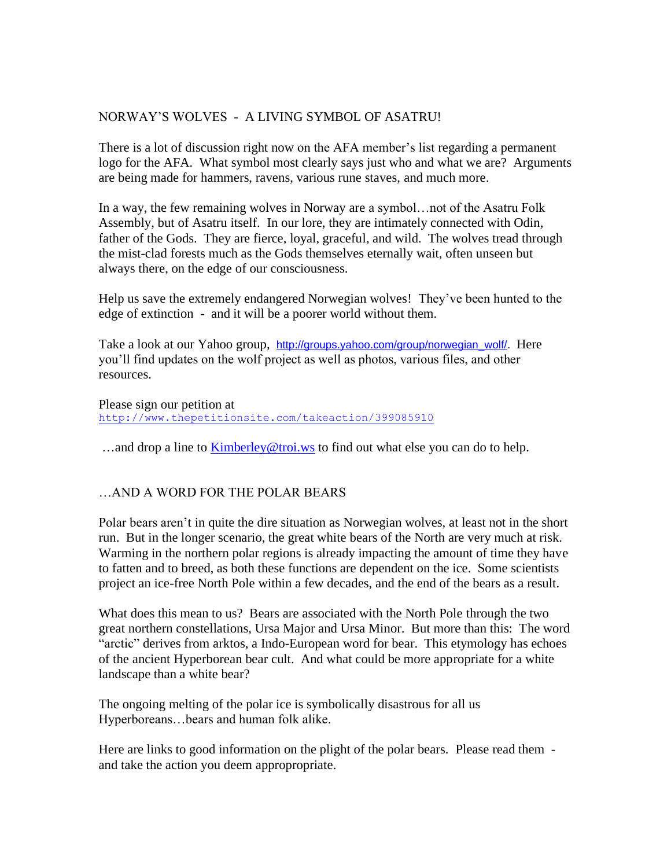## NORWAY'S WOLVES - A LIVING SYMBOL OF ASATRU!

There is a lot of discussion right now on the AFA member's list regarding a permanent logo for the AFA. What symbol most clearly says just who and what we are? Arguments are being made for hammers, ravens, various rune staves, and much more.

In a way, the few remaining wolves in Norway are a symbol…not of the Asatru Folk Assembly, but of Asatru itself. In our lore, they are intimately connected with Odin, father of the Gods. They are fierce, loyal, graceful, and wild. The wolves tread through the mist-clad forests much as the Gods themselves eternally wait, often unseen but always there, on the edge of our consciousness.

Help us save the extremely endangered Norwegian wolves! They've been hunted to the edge of extinction - and it will be a poorer world without them.

Take a look at our Yahoo group, [http://groups.yahoo.com/group/norwegian\\_wolf/.](http://groups.yahoo.com/group/norwegian_wolf/) Here you'll find updates on the wolf project as well as photos, various files, and other resources.

Please sign our petition at <http://www.thepetitionsite.com/takeaction/399085910>

...and drop a line to [Kimberley@troi.ws](mailto:Kimberley@troi.ws) to find out what else you can do to help.

#### …AND A WORD FOR THE POLAR BEARS

Polar bears aren't in quite the dire situation as Norwegian wolves, at least not in the short run. But in the longer scenario, the great white bears of the North are very much at risk. Warming in the northern polar regions is already impacting the amount of time they have to fatten and to breed, as both these functions are dependent on the ice. Some scientists project an ice-free North Pole within a few decades, and the end of the bears as a result.

What does this mean to us? Bears are associated with the North Pole through the two great northern constellations, Ursa Major and Ursa Minor. But more than this: The word "arctic" derives from arktos, a Indo-European word for bear. This etymology has echoes of the ancient Hyperborean bear cult. And what could be more appropriate for a white landscape than a white bear?

The ongoing melting of the polar ice is symbolically disastrous for all us Hyperboreans…bears and human folk alike.

Here are links to good information on the plight of the polar bears. Please read them and take the action you deem appropropriate.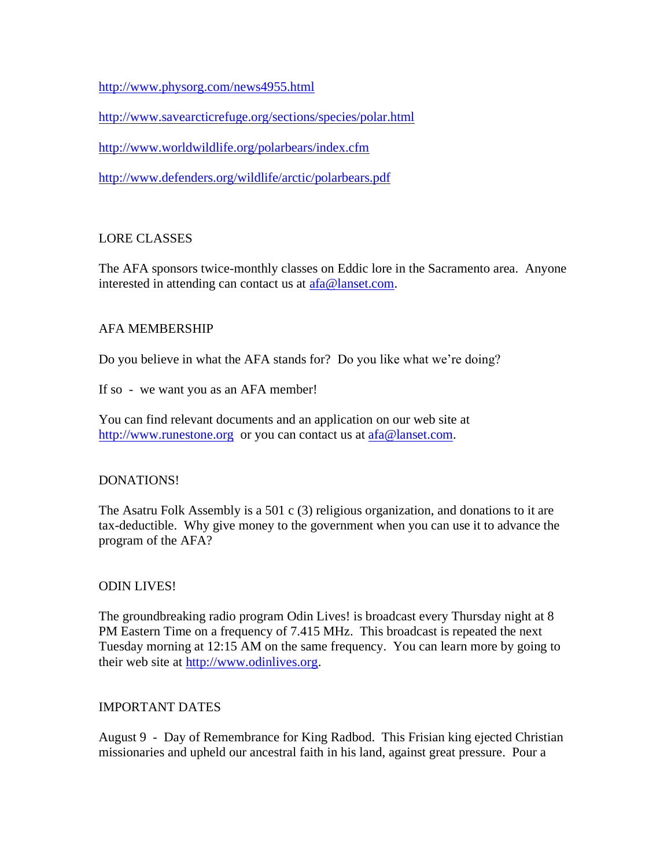<http://www.physorg.com/news4955.html>

<http://www.savearcticrefuge.org/sections/species/polar.html>

<http://www.worldwildlife.org/polarbears/index.cfm>

<http://www.defenders.org/wildlife/arctic/polarbears.pdf>

### LORE CLASSES

The AFA sponsors twice-monthly classes on Eddic lore in the Sacramento area. Anyone interested in attending can contact us at [afa@lanset.com.](mailto:afa@lanset.com)

#### AFA MEMBERSHIP

Do you believe in what the AFA stands for? Do you like what we're doing?

If so - we want you as an AFA member!

You can find relevant documents and an application on our web site at [http://www.runestone.org](http://www.runestone.org/) or you can contact us at [afa@lanset.com.](mailto:afa@lanset.com)

#### DONATIONS!

The Asatru Folk Assembly is a 501 c (3) religious organization, and donations to it are tax-deductible. Why give money to the government when you can use it to advance the program of the AFA?

#### ODIN LIVES!

The groundbreaking radio program Odin Lives! is broadcast every Thursday night at 8 PM Eastern Time on a frequency of 7.415 MHz. This broadcast is repeated the next Tuesday morning at 12:15 AM on the same frequency. You can learn more by going to their web site at [http://www.odinlives.org.](http://www.odinlives.org/)

#### IMPORTANT DATES

August 9 - Day of Remembrance for King Radbod. This Frisian king ejected Christian missionaries and upheld our ancestral faith in his land, against great pressure. Pour a